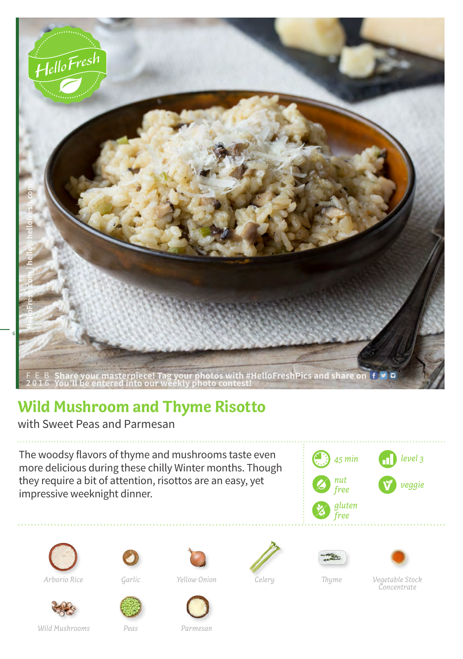

## **Wild Mushroom and Thyme Risotto**

with Sweet Peas and Parmesan

The woodsy flavors of thyme and mushrooms taste even more delicious during these chilly Winter months. Though they require a bit of attention, risottos are an easy, yet impressive weeknight dinner.









*Yellow Onion Thyme*





*Arborio Rice Garlic Vegetable Stock Concentrate*

*Peas*

*Wild Mushrooms*

*Parmesan*